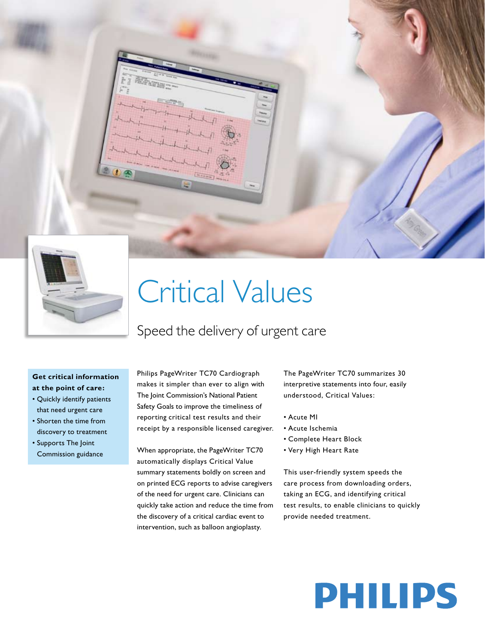

# Critical Values

## Speed the delivery of urgent care

### **Get critical information at the point of care:**

- • Quickly identify patients that need urgent care
- • Shorten the time from discovery to treatment
- • Supports The Joint Commission guidance

Philips PageWriter TC70 Cardiograph makes it simpler than ever to align with The Joint Commission's National Patient Safety Goals to improve the timeliness of reporting critical test results and their receipt by a responsible licensed caregiver.

When appropriate, the PageWriter TC70 automatically displays Critical Value summary statements boldly on screen and on printed ECG reports to advise caregivers of the need for urgent care. Clinicians can quickly take action and reduce the time from the discovery of a critical cardiac event to intervention, such as balloon angioplasty.

The PageWriter TC70 summarizes 30 interpretive statements into four, easily understood, Critical Values:

- • Acute MI
- • Acute Ischemia
- • Complete Heart Block
- • Very High Heart Rate

This user-friendly system speeds the care process from downloading orders, taking an ECG, and identifying critical test results, to enable clinicians to quickly provide needed treatment.

# **PHILIPS**